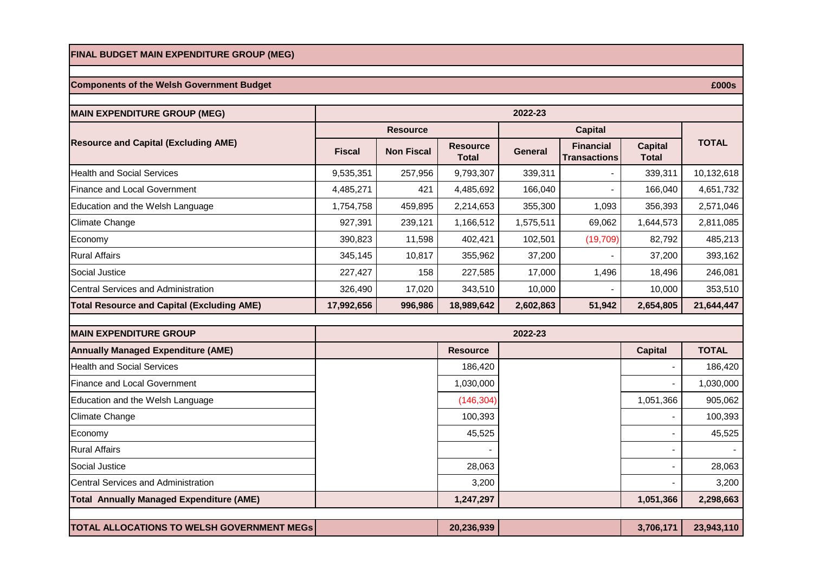#### **FINAL BUDGET MAIN EXPENDITURE GROUP (MEG)**

### **Components of the Welsh Government Budget**

**MAIN EXPENDITURE GROUP (MEG) Fiscal | Non Fiscal | Resource Total General Financial Transactions Capital Total**  Health and Social Services 257,956 9.793,307 339.311 339.311 10.132.618 Finance and Local Government 1 1.651,732 | 4.485,271 | 4.485,692 | 4.485,692 | 166,040 | 166,040 | 4.651,732 Education and the Welsh Language 1,754,758 |  $1,754,758$   $459,895$   $2,214,653$   $355,300$   $1,093$   $356,393$   $2,571,046$ Climate Change 927,391 239,121 1,166,512 1,575,511 69,062 1,644,573 2,811,085 Economy 390,823 11,598 402,421 102,501 (19,709) 82,792 485,213 Rural Affairs 345,145 10,817 355,962 37,200 - 37,200 393,162 Social Justice 227,427 158 227,585 17,000 1,496 18,496 246,081 Central Services and Administration **1980 17,020** 17,020 17,020 1343,510 10,000 1000 10,000 10,000 353,510 **Total Resource and Capital (Excluding AME) 17,992,656 996,986 18,989,642 2,602,863 51,942 2,654,805 21,644,447 2022-23 Resource and Capital (Excluding AME) Resource Capital Resource Capital TOTAL** 

| <b>MAIN EXPENDITURE GROUP</b>                     |                 | 2022-23        |              |
|---------------------------------------------------|-----------------|----------------|--------------|
| <b>Annually Managed Expenditure (AME)</b>         | <b>Resource</b> | <b>Capital</b> | <b>TOTAL</b> |
| <b>Health and Social Services</b>                 | 186,420         |                | 186,420      |
| <b>Finance and Local Government</b>               | 1,030,000       |                | 1,030,000    |
| Education and the Welsh Language                  | (146, 304)      | 1,051,366      | 905,062      |
| Climate Change                                    | 100,393         |                | 100,393      |
| Economy                                           | 45,525          |                | 45,525       |
| <b>Rural Affairs</b>                              |                 |                |              |
| Social Justice                                    | 28,063          |                | 28,063       |
| <b>ICentral Services and Administration</b>       | 3,200           |                | 3,200        |
| <b>Total Annually Managed Expenditure (AME)</b>   | 1,247,297       | 1,051,366      | 2,298,663    |
|                                                   |                 |                |              |
| <b>TOTAL ALLOCATIONS TO WELSH GOVERNMENT MEGS</b> | 20,236,939      | 3,706,171      | 23,943,110   |

 **£000s**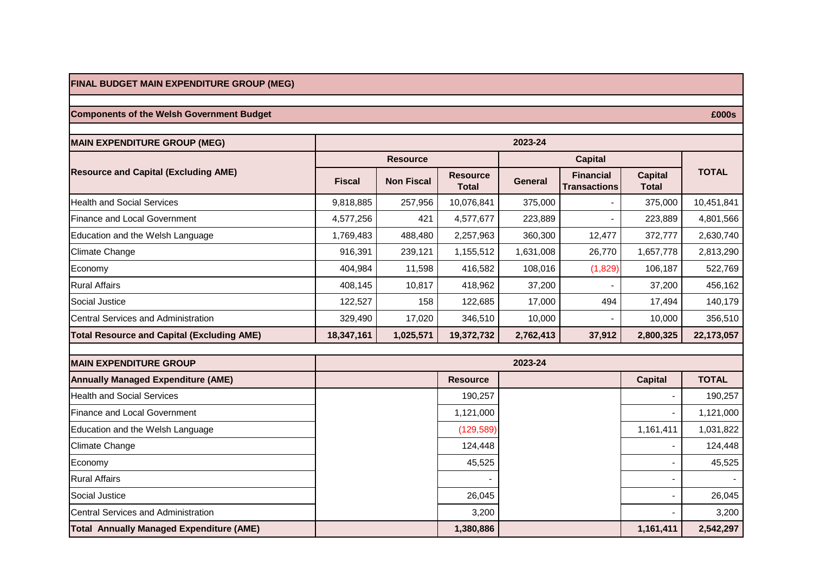## **FINAL BUDGET MAIN EXPENDITURE GROUP (MEG)**

# **Components of the Welsh Government Budget**

| <b>MAIN EXPENDITURE GROUP (MEG)</b>               | 2023-24       |                   |                                 |                |                                         |                                |              |
|---------------------------------------------------|---------------|-------------------|---------------------------------|----------------|-----------------------------------------|--------------------------------|--------------|
| <b>Resource and Capital (Excluding AME)</b>       |               | <b>Resource</b>   |                                 | <b>Capital</b> |                                         |                                |              |
|                                                   | <b>Fiscal</b> | <b>Non Fiscal</b> | <b>Resource</b><br><b>Total</b> | <b>General</b> | <b>Financial</b><br><b>Transactions</b> | <b>Capital</b><br><b>Total</b> | <b>TOTAL</b> |
| <b>Health and Social Services</b>                 | 9,818,885     | 257,956           | 10,076,841                      | 375,000        |                                         | 375,000                        | 10,451,841   |
| <b>Finance and Local Government</b>               | 4,577,256     | 421               | 4,577,677                       | 223,889        |                                         | 223,889                        | 4,801,566    |
| Education and the Welsh Language                  | 1,769,483     | 488,480           | 2,257,963                       | 360,300        | 12,477                                  | 372,777                        | 2,630,740    |
| <b>Climate Change</b>                             | 916,391       | 239,121           | 1,155,512                       | 1,631,008      | 26,770                                  | 1,657,778                      | 2,813,290    |
| Economy                                           | 404,984       | 11,598            | 416,582                         | 108,016        | (1,829)                                 | 106,187                        | 522,769      |
| <b>Rural Affairs</b>                              | 408,145       | 10,817            | 418,962                         | 37,200         |                                         | 37,200                         | 456,162      |
| Social Justice                                    | 122,527       | 158               | 122,685                         | 17,000         | 494                                     | 17,494                         | 140,179      |
| Central Services and Administration               | 329,490       | 17,020            | 346,510                         | 10,000         |                                         | 10,000                         | 356,510      |
| <b>Total Resource and Capital (Excluding AME)</b> | 18,347,161    | 1,025,571         | 19,372,732                      | 2,762,413      | 37,912                                  | 2,800,325                      | 22,173,057   |
| <b>MAIN EXPENDITURE GROUP</b>                     |               |                   |                                 | 2023-24        |                                         |                                |              |
| <b>Annually Managed Expenditure (AME)</b>         |               |                   | <b>Resource</b>                 |                |                                         | <b>Capital</b>                 | <b>TOTAL</b> |
| <b>Health and Social Services</b>                 |               |                   | 190,257                         |                |                                         |                                | 190,257      |
| <b>Finance and Local Government</b>               |               |                   | 1,121,000                       |                |                                         |                                | 1,121,000    |
| Education and the Welsh Language                  |               |                   | (129, 589)                      |                |                                         | 1,161,411                      | 1,031,822    |
| <b>Climate Change</b>                             |               |                   | 124,448                         |                |                                         |                                | 124,448      |
| Economy                                           |               |                   | 45,525                          |                |                                         |                                | 45,525       |
| <b>Rural Affairs</b>                              |               |                   |                                 |                |                                         |                                |              |
| Social Justice                                    |               |                   | 26,045                          |                |                                         |                                | 26,045       |
| Central Services and Administration               |               |                   | 3,200                           |                |                                         |                                | 3,200        |
| <b>Total Annually Managed Expenditure (AME)</b>   |               |                   | 1,380,886                       |                |                                         | 1,161,411                      | 2,542,297    |

 **£000s**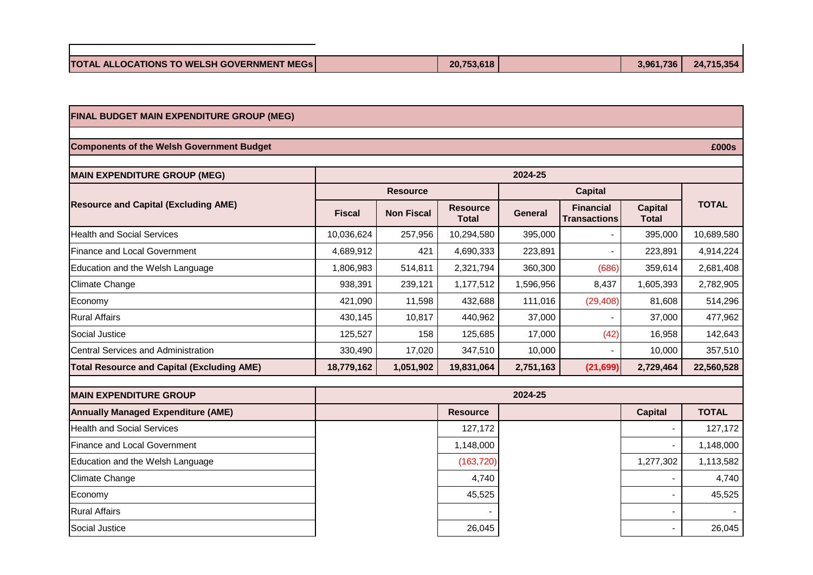| <b>TOTAL ALLOCATIONS TO WELSH GOVERNMENT MEGS</b> | 20,753,618 | 3.961.736 | 24,715,354 |
|---------------------------------------------------|------------|-----------|------------|
|                                                   |            |           |            |

## **FINAL BUDGET MAIN EXPENDITURE GROUP (MEG)**

### **Components of the Welsh Government Budget**

**MAIN EXPENDITURE GROUP (MEG) Fiscal | Non Fiscal | Resource Total General Financial Transactions Capital Total**  Health and Social Services 2000 2000 10,036,624 10,036,624 257,956 10,294,580 395,000 10,689,000 10,689,580 Finance and Local Government 1 1 4.689,912 421 4.690.333 223.891 - 223.891 223.891 4.914.224  $\vert$ Education and the Welsh Language  $\vert$  1,806,983  $\vert$  514,811  $\vert$  2,321,794  $\vert$  360,300  $\vert$  359,614 2,681,408 Climate Change 938,391 | 239,121 | 1,177,512 | 1,596,956 | 8,437 | 1,605,393 | 2,782,905 Economy 11,598 | 432,688 | 111,016 | (29,408)| 81,608 | 514,296 Rural Affairs | 430,145 | 10,817 | 440,962 | 37,000 | - | 37,000 | 477,962 Social Justice 125,527 158 125,685 17,000 (42) 16,958 142,643 Central Services and Administration 330,490 17,020 347,510 10,000 - 10,000 357,510 **Total Resource and Capital (Excluding AME) 18,779,162 1,051,902 19,831,064 2,751,163 (21,699) 2,729,464 22,560,528 2024-25 Resource and Capital (Excluding AME) Resource Capital Capital TOTAL** 

| <b>MAIN EXPENDITURE GROUP</b>             |                 | 2024-25        |              |
|-------------------------------------------|-----------------|----------------|--------------|
| <b>Annually Managed Expenditure (AME)</b> | <b>Resource</b> | <b>Capital</b> | <b>TOTAL</b> |
| Health and Social Services                | 127,172         |                | 127,172      |
| Finance and Local Government              | 1,148,000       |                | 1,148,000    |
| Education and the Welsh Language          | (163, 720)      | 1,277,302      | 1,113,582    |
| Climate Change                            | 4,740           |                | 4,740        |
| Economy                                   | 45,525          |                | 45,525       |
| <b>Rural Affairs</b>                      |                 |                |              |
| Social Justice                            | 26,045          |                | 26,045       |

 **£000s**